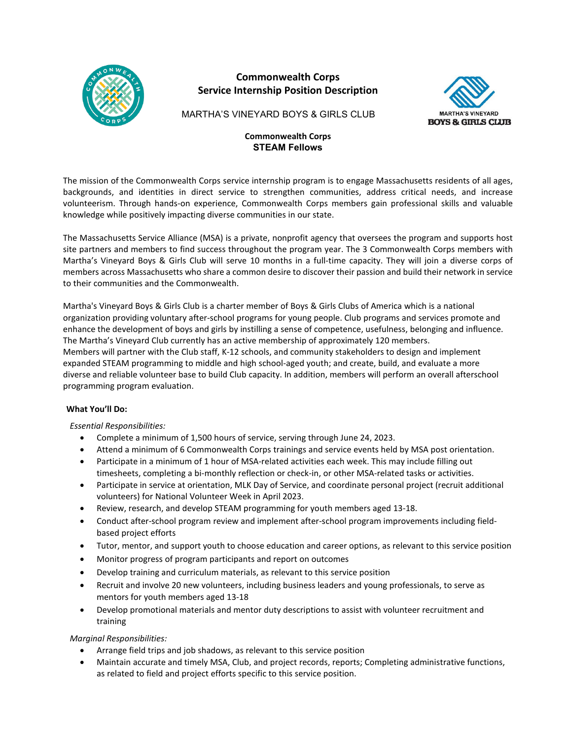

# **Commonwealth Corps Service Internship Position Description**



MARTHA'S VINEYARD BOYS & GIRLS CLUB

# **Commonwealth Corps STEAM Fellows**

The mission of the Commonwealth Corps service internship program is to engage Massachusetts residents of all ages, backgrounds, and identities in direct service to strengthen communities, address critical needs, and increase volunteerism. Through hands-on experience, Commonwealth Corps members gain professional skills and valuable knowledge while positively impacting diverse communities in our state.

The Massachusetts Service Alliance (MSA) is a private, nonprofit agency that oversees the program and supports host site partners and members to find success throughout the program year. The 3 Commonwealth Corps members with Martha's Vineyard Boys & Girls Club will serve 10 months in a full-time capacity. They will join a diverse corps of members across Massachusetts who share a common desire to discover their passion and build their network in service to their communities and the Commonwealth.

Martha's Vineyard Boys & Girls Club is a charter member of Boys & Girls Clubs of America which is a national organization providing voluntary after-school programs for young people. Club programs and services promote and enhance the development of boys and girls by instilling a sense of competence, usefulness, belonging and influence. The Martha's Vineyard Club currently has an active membership of approximately 120 members. Members will partner with the Club staff, K-12 schools, and community stakeholders to design and implement expanded STEAM programming to middle and high school-aged youth; and create, build, and evaluate a more diverse and reliable volunteer base to build Club capacity. In addition, members will perform an overall afterschool programming program evaluation.

# **What You'll Do:**

# *Essential Responsibilities:*

- Complete a minimum of 1,500 hours of service, serving through June 24, 2023.
- Attend a minimum of 6 Commonwealth Corps trainings and service events held by MSA post orientation.
- Participate in a minimum of 1 hour of MSA-related activities each week. This may include filling out timesheets, completing a bi-monthly reflection or check-in, or other MSA-related tasks or activities.
- Participate in service at orientation, MLK Day of Service, and coordinate personal project (recruit additional volunteers) for National Volunteer Week in April 2023.
- Review, research, and develop STEAM programming for youth members aged 13-18.
- Conduct after-school program review and implement after-school program improvements including fieldbased project efforts
- Tutor, mentor, and support youth to choose education and career options, as relevant to this service position
- Monitor progress of program participants and report on outcomes
- Develop training and curriculum materials, as relevant to this service position
- Recruit and involve 20 new volunteers, including business leaders and young professionals, to serve as mentors for youth members aged 13-18
- Develop promotional materials and mentor duty descriptions to assist with volunteer recruitment and training

*Marginal Responsibilities:*

- Arrange field trips and job shadows, as relevant to this service position
- Maintain accurate and timely MSA, Club, and project records, reports; Completing administrative functions, as related to field and project efforts specific to this service position.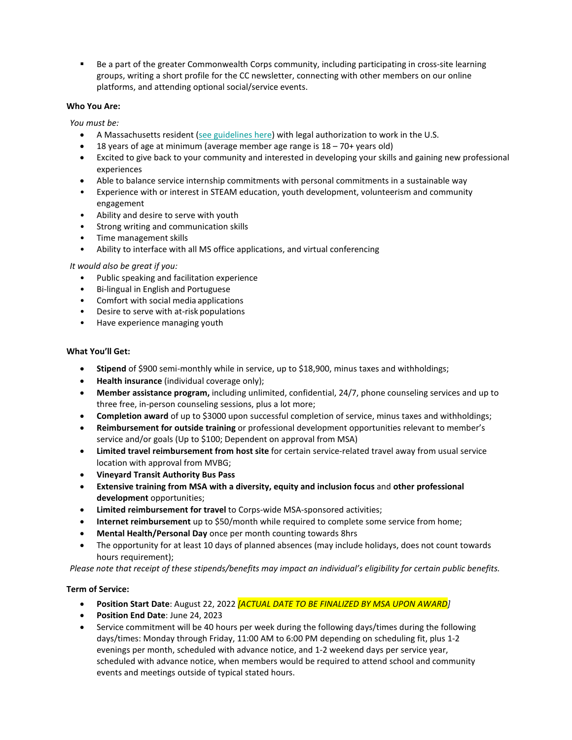Be a part of the greater Commonwealth Corps community, including participating in cross-site learning groups, writing a short profile for the CC newsletter, connecting with other members on our online platforms, and attending optional social/service events.

# **Who You Are:**

*You must be:*

- A Massachusetts resident [\(see guidelines here\)](http://mass-service.org/sites/default/files/Massachusetts%20Residency%20Requirements_0.pdf) with legal authorization to work in the U.S.
- 18 years of age at minimum (average member age range is  $18 70+$  years old)
- Excited to give back to your community and interested in developing your skills and gaining new professional experiences
- Able to balance service internship commitments with personal commitments in a sustainable way
- Experience with or interest in STEAM education, youth development, volunteerism and community engagement
- Ability and desire to serve with youth
- Strong writing and communication skills
- Time management skills
- Ability to interface with all MS office applications, and virtual conferencing

# *It would also be great if you:*

- Public speaking and facilitation experience
- Bi-lingual in English and Portuguese
- Comfort with social media applications
- Desire to serve with at-risk populations
- Have experience managing youth

# **What You'll Get:**

- **Stipend** of \$900 semi-monthly while in service, up to \$18,900, minus taxes and withholdings;
- **Health insurance** (individual coverage only);
- **Member assistance program,** including unlimited, confidential, 24/7, phone counseling services and up to three free, in-person counseling sessions, plus a lot more;
- **Completion award** of up to \$3000 upon successful completion of service, minus taxes and withholdings;
- **Reimbursement for outside training** or professional development opportunities relevant to member's service and/or goals (Up to \$100; Dependent on approval from MSA)
- **Limited travel reimbursement from host site** for certain service-related travel away from usual service location with approval from MVBG;
- **Vineyard Transit Authority Bus Pass**
- **Extensive training from MSA with a diversity, equity and inclusion focus** and **other professional development** opportunities;
- **Limited reimbursement for travel** to Corps-wide MSA-sponsored activities;
- **Internet reimbursement** up to \$50/month while required to complete some service from home;
- **Mental Health/Personal Day** once per month counting towards 8hrs
- The opportunity for at least 10 days of planned absences (may include holidays, does not count towards hours requirement);

*Please note that receipt of these stipends/benefits may impact an individual's eligibility for certain public benefits.*

# **Term of Service:**

- **Position Start Date**: August 22, 2022 *[ACTUAL DATE TO BE FINALIZED BY MSA UPON AWARD]*
- **Position End Date**: June 24, 2023
- Service commitment will be 40 hours per week during the following days/times during the following days/times: Monday through Friday, 11:00 AM to 6:00 PM depending on scheduling fit, plus 1-2 evenings per month, scheduled with advance notice, and 1-2 weekend days per service year, scheduled with advance notice, when members would be required to attend school and community events and meetings outside of typical stated hours.